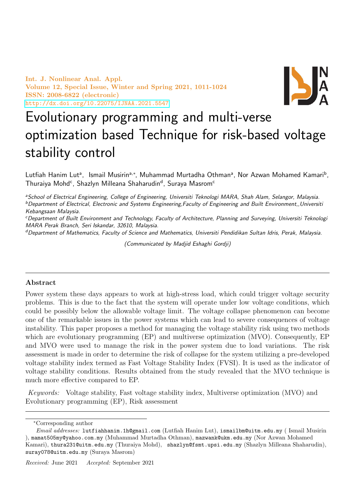Int. J. Nonlinear Anal. Appl. Volume 12, Special Issue, Winter and Spring 2021, 1011-1024 ISSN: 2008-6822 (electronic) <http://dx.doi.org/10.22075/IJNAA.2021.5547>



# Evolutionary programming and multi-verse optimization based Technique for risk-based voltage stability control

Lutfiah Hanim Lut<sup>a</sup>, Ismail Musirin<sup>a,∗</sup>, Muhammad Murtadha Othman<sup>a</sup>, Nor Azwan Mohamed Kamari<sup>b</sup>, Thuraiya Mohd<sup>c</sup>, Shazlyn Milleana Shaharudin<sup>d</sup>, Suraya Masrom<sup>c</sup>

<sup>a</sup>School of Electrical Engineering, College of Engineering, Universiti Teknologi MARA, Shah Alam, Selangor, Malaysia.  $b$ Department of Electrical, Electronic and Systems Engineering, Faculty of Engineering and Built Environment, Universiti Kebangsaan Malaysia.

<sup>c</sup>Department of Built Environment and Technology, Faculty of Architecture, Planning and Surveying, Universiti Teknologi MARA Perak Branch, Seri Iskandar, 32610, Malaysia.

dDepartment of Mathematics, Faculty of Science and Mathematics, Universiti Pendidikan Sultan Idris, Perak, Malaysia.

(Communicated by Madjid Eshaghi Gordji)

# Abstract

Power system these days appears to work at high-stress load, which could trigger voltage security problems. This is due to the fact that the system will operate under low voltage conditions, which could be possibly below the allowable voltage limit. The voltage collapse phenomenon can become one of the remarkable issues in the power systems which can lead to severe consequences of voltage instability. This paper proposes a method for managing the voltage stability risk using two methods which are evolutionary programming (EP) and multiverse optimization (MVO). Consequently, EP and MVO were used to manage the risk in the power system due to load variations. The risk assessment is made in order to determine the risk of collapse for the system utilizing a pre-developed voltage stability index termed as Fast Voltage Stability Index (FVSI). It is used as the indicator of voltage stability conditions. Results obtained from the study revealed that the MVO technique is much more effective compared to EP.

Keywords: Voltage stability, Fast voltage stability index, Multiverse optimization (MVO) and Evolutionary programming (EP), Risk assessment

<sup>∗</sup>Corresponding author

Email addresses: lutfiahhanim.1h@gmail.com (Lutfiah Hanim Lut), ismailbm@uitm.edu.my ( Ismail Musirin ), mamat505my@yahoo.com.my (Muhammad Murtadha Othman), mazwank@ukm.edu.my (Nor Azwan Mohamed Kamari), thura231@uitm.edu.my (Thuraiya Mohd), shazlyn@fsmt.upsi.edu.my (Shazlyn Milleana Shaharudin), suray078@uitm.edu.my (Suraya Masrom)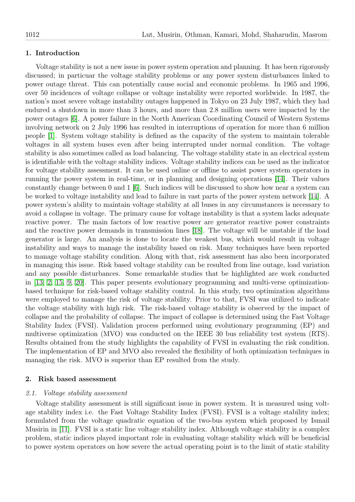# 1. Introduction

Voltage stability is not a new issue in power system operation and planning. It has been rigorously discussed; in particuar the voltage stability problems or any power system disturbances linked to power outage threat. This can potentially cause social and economic problems. In 1965 and 1996, over 50 incidences of voltage collapse or voltage instability were reported worldwide. In 1987, the nation's most severe voltage instability outages happened in Tokyo on 23 July 1987, which they had endured a shutdown in more than 3 hours, and more than 2.8 million users were impacted by the power outages [\[6\]](#page-13-0). A power failure in the North American Coordinating Council of Western Systems involving network on 2 July 1996 has resulted in interruptions of operation for more than 6 million people [\[1\]](#page-13-1). System voltage stability is defined as the capacity of the system to maintain tolerable voltages in all system buses even after being interrupted under normal condition. The voltage stability is also sometimes called as load balancing. The voltage stability state in an electrical system is identifiable with the voltage stability indices. Voltage stability indices can be used as the indicator for voltage stability assessment. It can be used online or offline to assist power system operators in running the power system in real-time, or in planning and designing operations [\[14\]](#page-13-2). Their values constantly change between 0 and 1  $[6]$ . Such indices will be discussed to show how near a system can be worked to voltage instability and lead to failure in vast parts of the power system network [\[14\]](#page-13-2). A power system's ability to maintain voltage stability at all buses in any circumstances is necessary to avoid a collapse in voltage. The primary cause for voltage instability is that a system lacks adequate reactive power. The main factors of low reactive power are generator reactive power constraints and the reactive power demands in transmission lines [\[18\]](#page-13-3). The voltage will be unstable if the load generator is large. An analysis is done to locate the weakest bus, which would result in voltage instability and ways to manage the instability based on risk. Many techniques have been reported to manage voltage stability condition. Along with that, risk assessment has also been incorporated in managing this issue. Risk based voltage stability can be resulted from line outage, load variation and any possible disturbances. Some remarkable studies that be highlighted are work conducted in [\[13,](#page-13-4) [2,](#page-13-5) [15,](#page-13-6) [9,](#page-13-7) [20\]](#page-13-8). This paper presents evolutionary programming and multi-verse optimizationbased technique for risk-based voltage stability control. In this study, two optimization algorithms were employed to manage the risk of voltage stability. Prior to that, FVSI was utilized to indicate the voltage stability with high risk. The risk-based voltage stability is observed by the impact of collapse and the probability of collapse. The impact of collapse is determined using the Fast Voltage Stability Index (FVSI). Validation process performed using evolutionary programming (EP) and multiverse optimization (MVO) was conducted on the IEEE 30 bus reliability test system (RTS). Results obtained from the study highlights the capability of FVSI in evaluating the risk condition. The implementation of EP and MVO also revealed the flexibility of both optimization techniques in managing the risk. MVO is superior than EP resulted from the study.

# 2. Risk based assessment

### 2.1. Voltage stability assessment

Voltage stability assessment is still significant issue in power system. It is measured using voltage stability index i.e. the Fast Voltage Stability Index (FVSI). FVSI is a voltage stability index; formulated from the voltage quadratic equation of the two-bus system which proposed by Ismail Musirin in [\[11\]](#page-13-9). FVSI is a static line voltage stability index. Although voltage stability is a complex problem, static indices played important role in evaluating voltage stability which will be beneficial to power system operators on how severe the actual operating point is to the limit of static stability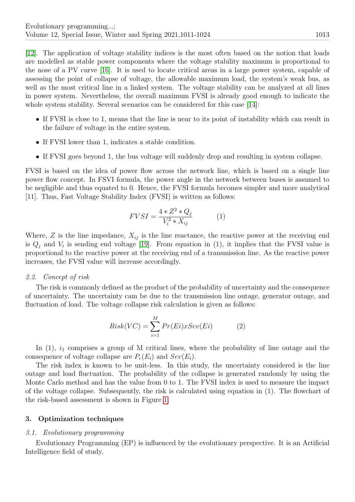[\[12\]](#page-13-10). The application of voltage stability indices is the most often based on the notion that loads are modelled as stable power components where the voltage stability maximum is proportional to the nose of a PV curve [\[16\]](#page-13-11). It is used to locate critical areas in a large power system, capable of assessing the point of collapse of voltage, the allowable maximum load, the system's weak bus, as well as the most critical line in a linked system. The voltage stability can be analyzed at all lines in power system. Nevertheless, the overall maximum FVSI is already good enough to indicate the whole system stability. Several scenarios can be considered for this case [\[14\]](#page-13-2):

- If FVSI is close to 1, means that the line is near to its point of instability which can result in the failure of voltage in the entire system.
- If FVSI lower than 1, indicates a stable condition.
- If FVSI goes beyond 1, the bus voltage will suddenly drop and resulting in system collapse.

FVSI is based on the idea of power flow across the network line, which is based on a single line power flow concept. In FSVI formula, the power angle in the network between buses is assumed to be negligible and thus equated to 0. Hence, the FVSI formula becomes simpler and more analytical [11]. Thus, Fast Voltage Stability Index (FVSI) is written as follows:

$$
FVSI = \frac{4 * Z^2 * Q_j}{V_i^2 * X_{ij}} \tag{1}
$$

Where,  $Z$  is the line impedance,  $X_{ij}$  is the line reactance, the reactive power at the receiving end is  $Q_j$  and  $V_i$  is sending end voltage [\[19\]](#page-13-12). From equation in (1), it implies that the FVSI value is proportional to the reactive power at the receiving end of a transmission line. As the reactive power increases, the FVSI value will increase accordingly.

### 2.2. Concept of risk

The risk is commonly defined as the product of the probability of uncertainty and the consequence of uncertainty. The uncertainty cam be due to the transmission line outage, generator outage, and fluctuation of load. The voltage collapse risk calculation is given as follows:

$$
Risk(VC) = \sum_{i=1}^{M} Pr(Ei)xSev(Ei)
$$
 (2)

In  $(1)$ ,  $i_1$  comprises a group of M critical lines, where the probability of line outage and the consequence of voltage collapse are  $P_r(E_i)$  and  $Sev(E_i)$ .

The risk index is known to be unit-less. In this study, the uncertainty considered is the line outage and load fluctuation. The probability of the collapse is generated randomly by using the Monte Carlo method and has the value from 0 to 1. The FVSI index is used to measure the impact of the voltage collapse. Subsequently, the risk is calculated using equation in (1). The flowchart of the risk-based assessment is shown in Figure [1.](#page-3-0)

# 3. Optimization techniques

## 3.1. Evolutionary programming

Evolutionary Programming (EP) is influenced by the evolutionary perspective. It is an Artificial Intelligence field of study.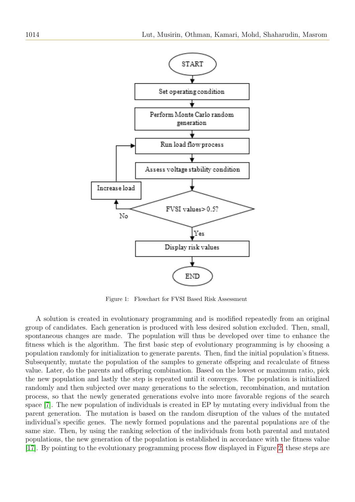

<span id="page-3-0"></span>Figure 1: Flowchart for FVSI Based Risk Assessment

A solution is created in evolutionary programming and is modified repeatedly from an original group of candidates. Each generation is produced with less desired solution excluded. Then, small, spontaneous changes are made. The population will thus be developed over time to enhance the fitness which is the algorithm. The first basic step of evolutionary programming is by choosing a population randomly for initialization to generate parents. Then, find the initial population's fitness. Subsequently, mutate the population of the samples to generate offspring and recalculate of fitness value. Later, do the parents and offspring combination. Based on the lowest or maximum ratio, pick the new population and lastly the step is repeated until it converges. The population is initialized randomly and then subjected over many generations to the selection, recombination, and mutation process, so that the newly generated generations evolve into more favorable regions of the search space [\[7\]](#page-13-13). The new population of individuals is created in EP by mutating every individual from the parent generation. The mutation is based on the random disruption of the values of the mutated individual's specific genes. The newly formed populations and the parental populations are of the same size. Then, by using the ranking selection of the individuals from both parental and mutated populations, the new generation of the population is established in accordance with the fitness value [\[17\]](#page-13-14). By pointing to the evolutionary programming process flow displayed in Figure [2,](#page-4-0) these steps are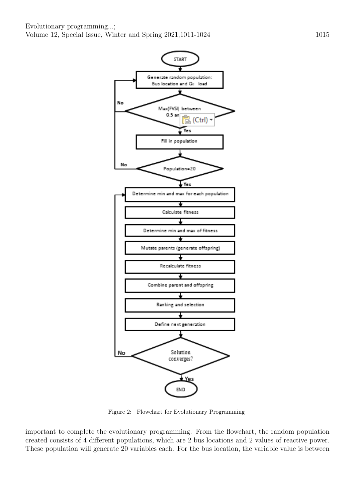

<span id="page-4-0"></span>Figure 2: Flowchart for Evolutionary Programming

important to complete the evolutionary programming. From the flowchart, the random population created consists of 4 different populations, which are 2 bus locations and 2 values of reactive power. These population will generate 20 variables each. For the bus location, the variable value is between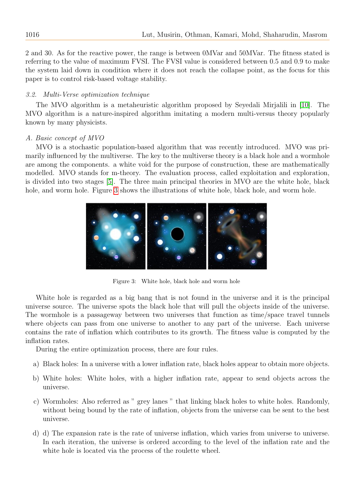2 and 30. As for the reactive power, the range is between 0MVar and 50MVar. The fitness stated is referring to the value of maximum FVSI. The FVSI value is considered between 0.5 and 0.9 to make the system laid down in condition where it does not reach the collapse point, as the focus for this paper is to control risk-based voltage stability.

# 3.2. Multi-Verse optimization technique

The MVO algorithm is a metaheuristic algorithm proposed by Seyedali Mirjalili in [\[10\]](#page-13-15). The MVO algorithm is a nature-inspired algorithm imitating a modern multi-versus theory popularly known by many physicists.

# A. Basic concept of MVO

MVO is a stochastic population-based algorithm that was recently introduced. MVO was primarily influenced by the multiverse. The key to the multiverse theory is a black hole and a wormhole are among the components. a white void for the purpose of construction, these are mathematically modelled. MVO stands for m-theory. The evaluation process, called exploitation and exploration, is divided into two stages [\[5\]](#page-13-16). The three main principal theories in MVO are the white hole, black hole, and worm hole. Figure [3](#page-5-0) shows the illustrations of white hole, black hole, and worm hole.

<span id="page-5-0"></span>

Figure 3: White hole, black hole and worm hole

White hole is regarded as a big bang that is not found in the universe and it is the principal universe source. The universe spots the black hole that will pull the objects inside of the universe. The wormhole is a passageway between two universes that function as time/space travel tunnels where objects can pass from one universe to another to any part of the universe. Each universe contains the rate of inflation which contributes to its growth. The fitness value is computed by the inflation rates.

During the entire optimization process, there are four rules.

- a) Black holes: In a universe with a lower inflation rate, black holes appear to obtain more objects.
- b) White holes: White holes, with a higher inflation rate, appear to send objects across the universe.
- c) Wormholes: Also referred as " grey lanes " that linking black holes to white holes. Randomly, without being bound by the rate of inflation, objects from the universe can be sent to the best universe.
- d) d) The expansion rate is the rate of universe inflation, which varies from universe to universe. In each iteration, the universe is ordered according to the level of the inflation rate and the white hole is located via the process of the roulette wheel.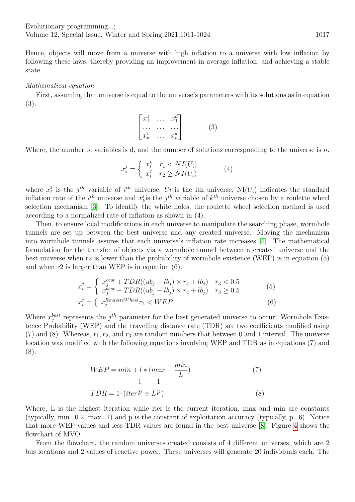Hence, objects will move from a universe with high inflation to a universe with low inflation by following these laws, thereby providing an improvement in average inflation, and achieving a stable state.

## Mathematical equation

First, assuming that universe is equal to the universe's parameters with its solutions as in equation (3):

$$
\begin{bmatrix} x_1^1 & \dots & x_1^d \\ \dots & \dots & \dots \\ x_n^1 & \dots & x_n^d \end{bmatrix} \tag{3}
$$

Where, the number of variables is d, and the number of solutions corresponding to the universe is n.

$$
x_i^j = \begin{cases} x_i^k & r_1 < NI(U_i) \\ x_i^j & r_2 \ge NI(U_i) \end{cases} \tag{4}
$$

where  $x_i^j$  $i$  is the j<sup>th</sup> variable of i<sup>th</sup> universe, Ui is the ith universe, NI(U<sub>i</sub>) indicates the standard inflation rate of the  $i^{th}$  universe and  $x_i^j$  $i_k$  is the  $j^{th}$  variable of  $k^{th}$  universe chosen by a roulette wheel selection mechanism [\[3\]](#page-13-17). To identify the white holes, the roulette wheel selection method is used according to a normalized rate of inflation as shown in (4).

Then, to ensure local modifications in each universe to manipulate the searching phase, wormhole tunnels are set up between the best universe and any created universe. Moving the mechanism into wormhole tunnels assures that each universe's inflation rate increases [\[4\]](#page-13-18). The mathematical formulation for the transfer of objects via a wormhole tunnel between a created universe and the best universe when r2 is lower than the probability of wormhole existence (WEP) is in equation (5) and when r2 is larger than WEP is in equation (6).

$$
x_i^j = \begin{cases} x_j^{best} + TDR((ub_j - lb_j) \times r_4 + lb_j) & r_3 < 0.5\\ x_j^{best} - TDR((ub_j - lb_j) \times r_4 + lb_j) & r_3 \ge 0.5 \end{cases} \tag{5}
$$
\n
$$
x_i^j = \begin{cases} x_j^{RouletteWheel} r_2 < WEP \end{cases} \tag{6}
$$

Where  $x_j^{best}$  represents the  $j^{th}$  parameter for the best generated universe to occur. Wormhole Existence Probability (WEP) and the travelling distance rate (TDR) are two coefficients modified using (7) and (8). Whereas,  $r_1, r_2$ , and  $r_3$  are random numbers that between 0 and 1 interval. The universe location was modified with the following equations involving WEP and TDR as in equations (7) and (8).

$$
WEP = min + l * (max - \frac{min}{L})
$$
\n
$$
\frac{1}{L} \frac{1}{L}
$$
\n
$$
TDR = 1 - (iter^p \div L^p)
$$
\n(8)

Where, L is the highest iteration while iter is the current iteration, max and min are constants (typically,  $min=0.2$ ,  $max=1$ ) and p is the constant of exploitation accuracy (typically,  $p=6$ ). Notice that more WEP values and less TDR values are found in the best universe [\[8\]](#page-13-19). Figure [4](#page-7-0) shows the flowchart of MVO.

From the flowchart, the random universes created consists of 4 different universes, which are 2 bus locations and 2 values of reactive power. These universes will generate 20 individuals each. The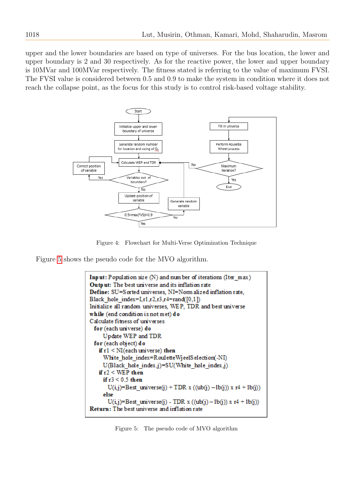upper and the lower boundaries are based on type of universes. For the bus location, the lower and upper boundary is 2 and 30 respectively. As for the reactive power, the lower and upper boundary is 10MVar and 100MVar respectively. The fitness stated is referring to the value of maximum FVSI. The FVSI value is considered between 0.5 and 0.9 to make the system in condition where it does not reach the collapse point, as the focus for this study is to control risk-based voltage stability.



<span id="page-7-0"></span>Figure 4: Flowchart for Multi-Verse Optimization Technique

Figure [5](#page-7-1) shows the pseudo code for the MVO algorithm.

```
Input: Population size (N) and number of iterations (Iter max)
Output: The best universe and its inflation rate
Define: SU=Sorted universes, NI=Norm alized inflation rate,
Black hole index=Lr1.r2.r3.r4=rand([0.1])
Initialize all random universes, WEP, TDR and best universe
while (end condition is not met) do
Calculate fitness of universes
 for (each universe) do
     Update WEP and TDR
 for (each object) do
   if r1 \leq NI(each universe) then
     White hole index=RouletteWjeelSelection(-NI)
     U(Black hole index,j)=SU(White hole index,j)
   if r2 < WEP then
     if r3 < 0.5 then
       U(i,j)=Best_universe(j) + TDR x ((ub(j) -1b(j)) x r4 + 1b(j))
     else
       U(i,j)=Best_universe(j) - TDR x ((ub(j) - lb(j)) x r4 + lb(j))
Return: The best universe and inflation rate
```
<span id="page-7-1"></span>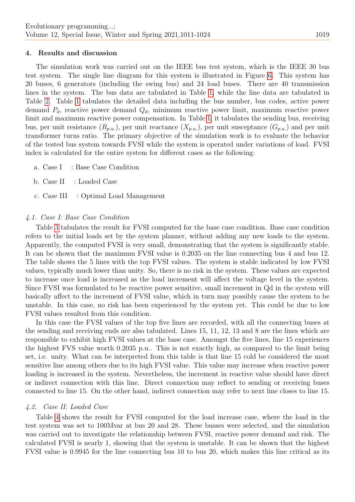## 4. Results and discussion

The simulation work was carried out on the IEEE bus test system, which is the IEEE 30 bus test system. The single line diagram for this system is illustrated in Figure [6.](#page-11-0) This system has 20 buses, 6 generators (including the swing bus) and 24 load buses. There are 40 transmission lines in the system. The bus data are tabulated in Table [1,](#page-9-0) while the line data are tabulated in Table [2.](#page-10-0) Table [1](#page-9-0) tabulates the detailed data including the bus number, bus codes, active power demand  $P_d$ , reactive power demand  $Q_d$ , minimum reactive power limit, maximum reactive power limit and maximum reactive power compensation. In Table [1,](#page-9-0) it tabulates the sending bus, receiving bus, per unit resistance  $(R_{p,u.})$ , per unit reactance  $(X_{p,u.})$ , per unit susceptance  $(G_{p,u.})$  and per unit transformer turns ratio. The primary objective of the simulation work is to evaluate the behavior of the tested bus system towards FVSI while the system is operated under variations of load. FVSI index is calculated for the entire system for different cases as the following:

- a. Case I : Base Case Condition
- b. Case II : Loaded Case
- c. Case III : Optimal Load Management

## 4.1. Case I: Base Case Condition

Table [3](#page-10-1) tabulates the result for FVSI computed for the base case condition. Base case condition refers to the initial loads set by the system planner, without adding any new loads to the system. Apparently, the computed FVSI is very small, demonstrating that the system is significantly stable. It can be shown that the maximum FVSI value is 0.2035 on the line connecting bus 4 and bus 12. The table shows the 5 lines with the top FVSI values. The system is stable indicated by low FVSI values, typically much lower than unity. So, there is no risk in the system. These values are expected to increase once load is increased as the load increment will affect the voltage level in the system. Since FVSI was formulated to be reactive power sensitive, small increment in Qd in the system will basically affect to the increment of FVSI value, which in turn may possibly cause the system to be unstable. In this case, no risk has been experienced by the system yet. This could be due to low FVSI values resulted from this condition.

In this case the FVSI values of the top five lines are recorded, with all the connecting buses at the sending and receiving ends are also tabulated. Lines 15, 11, 12, 13 and 8 are the lines which are responsible to exhibit high FVSI values at the base case. Amongst the five lines, line 15 experiences the highest FVS value worth 0.2035 p.u.. This is not exactly high, as compared to the limit being set, i.e. unity. What can be interpreted from this table is that line 15 cold be considered the most sensitive line among others due to its high FVSI value. This value may increase when reactive power loading is increased in the system. Nevertheless, the increment in reactive value should have direct or indirect connection with this line. Direct connection may reflect to sending or receiving buses connected to line 15. On the other hand, indirect connection may refer to next line closes to line 15.

## 4.2. Case II: Loaded Case

Table [4](#page-11-1) shows the result for FVSI computed for the load increase case, where the load in the test system was set to 100Mvar at bus 20 and 28. These busses were selected, and the simulation was carried out to investigate the relationship between FVSI, reactive power demand and risk. The calculated FVSI is nearly 1, showing that the system is unstable. It can be shown that the highest FVSI value is 0.9945 for the line connecting bus 10 to bus 20, which makes this line critical as its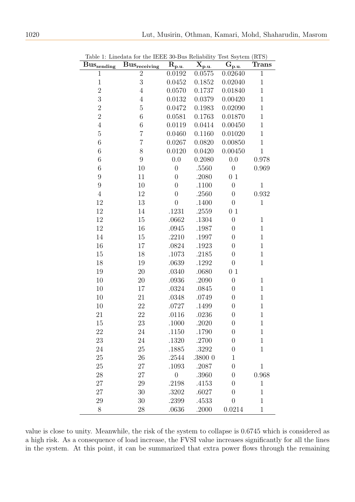<span id="page-9-0"></span>

| $Bus_{\rm sending}$ | $Bus_{receiving}$ | $\mathbf{\bar{R}_{p.u.}}$ | $\overline{\mathbf{X}}_{\mathbf{p}.\underline{\mathbf{u}}.}$ | $\sim$<br>$\overline{G}_{\underline{p,\underline{u}}}$ | (2020)<br>Trans |
|---------------------|-------------------|---------------------------|--------------------------------------------------------------|--------------------------------------------------------|-----------------|
| 1                   | $\overline{2}$    | 0.0192                    | 0.0575                                                       | 0.02640                                                | $\mathbf{1}$    |
| $\mathbf{1}$        | 3                 | 0.0452                    | 0.1852                                                       | 0.02040                                                | $\mathbf{1}$    |
| $\overline{2}$      | $\overline{4}$    | 0.0570                    | 0.1737                                                       | 0.01840                                                | $\mathbf 1$     |
| 3                   | $\overline{4}$    | 0.0132                    | 0.0379                                                       | 0.00420                                                | $\mathbf 1$     |
| $\overline{2}$      | $\overline{5}$    | 0.0472                    | 0.1983                                                       | 0.02090                                                | $\mathbf{1}$    |
| $\overline{2}$      | 6                 | 0.0581                    | 0.1763                                                       | 0.01870                                                | $\mathbf 1$     |
| $\overline{4}$      | $\,6$             | 0.0119                    | 0.0414                                                       | 0.00450                                                | $\mathbf{1}$    |
| $\overline{5}$      | $\overline{7}$    | 0.0460                    | 0.1160                                                       | 0.01020                                                | $\mathbf 1$     |
| $\sqrt{6}$          | $\overline{7}$    | 0.0267                    | 0.0820                                                       | 0.00850                                                | $\mathbf{1}$    |
| $\sqrt{6}$          | 8                 | 0.0120                    | 0.0420                                                       | 0.00450                                                | $\mathbf{1}$    |
| $\,6$               | 9                 | 0.0                       | 0.2080                                                       | 0.0                                                    | 0.978           |
| $\sqrt{6}$          | 10                | $\overline{0}$            | .5560                                                        | $\boldsymbol{0}$                                       | 0.969           |
| $\boldsymbol{9}$    | 11                | $\boldsymbol{0}$          | .2080                                                        | 0 <sub>1</sub>                                         |                 |
| $\overline{9}$      | 10                | $\boldsymbol{0}$          | .1100                                                        | $\boldsymbol{0}$                                       | $\mathbf{1}$    |
| $\overline{4}$      | 12                | $\overline{0}$            | .2560                                                        | $\boldsymbol{0}$                                       | 0.932           |
| 12                  | 13                | $\overline{0}$            | .1400                                                        | $\boldsymbol{0}$                                       | $\mathbf{1}$    |
| $12\,$              | 14                | .1231                     | .2559                                                        | 0 <sub>1</sub>                                         |                 |
| 12                  | 15                | .0662                     | .1304                                                        | $\boldsymbol{0}$                                       | 1               |
| 12                  | 16                | .0945                     | .1987                                                        | $\overline{0}$                                         | $\mathbf{1}$    |
| 14                  | 15                | .2210                     | .1997                                                        | $\boldsymbol{0}$                                       | $\mathbf 1$     |
| 16                  | $17\,$            | .0824                     | .1923                                                        | $\boldsymbol{0}$                                       | $\mathbf{1}$    |
| 15                  | 18                | .1073                     | .2185                                                        | $\boldsymbol{0}$                                       | $\mathbf{1}$    |
| 18                  | 19                | .0639                     | .1292                                                        | $\boldsymbol{0}$                                       | $\mathbf 1$     |
| 19                  | 20                | .0340                     | .0680                                                        | 01                                                     |                 |
| 10                  | 20                | .0936                     | .2090                                                        | $\overline{0}$                                         | $\mathbf{1}$    |
| 10                  | 17                | .0324                     | .0845                                                        | $\boldsymbol{0}$                                       | $\mathbf{1}$    |
| 10                  | 21                | .0348                     | .0749                                                        | $\overline{0}$                                         | $\mathbf{1}$    |
| 10                  | 22                | .0727                     | .1499                                                        | $\boldsymbol{0}$                                       | $\mathbf 1$     |
| 21                  | 22                | .0116                     | .0236                                                        | $\boldsymbol{0}$                                       | $\mathbf{1}$    |
| 15                  | 23                | 1000                      | 2020                                                         | $\boldsymbol{0}$                                       | $\mathbf{1}$    |
| 22                  | 24                | .1150                     | .1790                                                        | $\boldsymbol{0}$                                       | $\mathbf 1$     |
| 23                  | 24                | .1320                     | .2700                                                        | $\boldsymbol{0}$                                       | $\mathbf{1}$    |
| 24                  | 25                | .1885                     | .3292                                                        | $\overline{0}$                                         | $\mathbf{1}$    |
| 25                  | 26                | .2544                     | .3800 0                                                      | $\mathbf{1}$                                           |                 |
| 25                  | 27                | .1093                     | .2087                                                        | $\overline{0}$                                         | $\mathbf 1$     |
| 28                  | 27                | $\overline{0}$            | .3960                                                        | $\overline{0}$                                         | 0.968           |
| 27                  | 29                | .2198                     | .4153                                                        | $\overline{0}$                                         | $\mathbf 1$     |
| 27                  | 30                | .3202                     | .6027                                                        | $\overline{0}$                                         | $\mathbf{1}$    |
| 29                  | 30                | .2399                     | .4533                                                        | $\overline{0}$                                         | $\mathbf{1}$    |
| $8\phantom{1}$      | 28                | .0636                     | .2000                                                        | 0.0214                                                 | $\mathbf{1}$    |

Table 1: Linedata for the IEEE 30-Bus Reliability Test Ssytem (RTS)

value is close to unity. Meanwhile, the risk of the system to collapse is 0.6745 which is considered as a high risk. As a consequence of load increase, the FVSI value increases significantly for all the lines in the system. At this point, it can be summarized that extra power flows through the remaining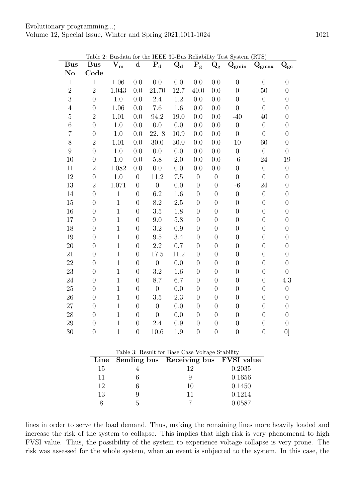<span id="page-10-0"></span>

| <b>Bus</b>             | <b>Bus</b>       | ле 4. Dusuata ioi<br>$\bar{\mathbf{V}}_{\mathbf{m}}$ | $\mathbf d$      | $P_d$            | $Q_d$   | $P_g$            | $\rm Q_g$        | the TEEP 50-Dus Renability Test system (RTS)<br>$\mathbf{Q}_{\textbf{gmin}}$ | $\mathbf{Q}_{\text{gmax}}$ | $\mathbf{Q_{gc}}$ |
|------------------------|------------------|------------------------------------------------------|------------------|------------------|---------|------------------|------------------|------------------------------------------------------------------------------|----------------------------|-------------------|
| $\mathbf{N}\mathbf{o}$ | Code             |                                                      |                  |                  |         |                  |                  |                                                                              |                            |                   |
| $[1]$                  | $\,1\,$          | 1.06                                                 | 0.0              | 0.0              | 0.0     | 0.0              | 0.0              | $\overline{0}$                                                               | $\overline{0}$             | $\boldsymbol{0}$  |
| $\overline{2}$         | $\sqrt{2}$       | 1.043                                                | 0.0              | 21.70            | 12.7    | 40.0             | 0.0              | $\overline{0}$                                                               | 50                         | $\overline{0}$    |
| 3                      | $\overline{0}$   | 1.0                                                  | 0.0              | 2.4              | 1.2     | 0.0              | 0.0              | $\overline{0}$                                                               | $\boldsymbol{0}$           | $\boldsymbol{0}$  |
| $\overline{4}$         | $\overline{0}$   | 1.06                                                 | 0.0              | 7.6              | 1.6     | 0.0              | 0.0              | $\overline{0}$                                                               | $\boldsymbol{0}$           | $\boldsymbol{0}$  |
| $\overline{5}$         | $\sqrt{2}$       | 1.01                                                 | 0.0              | 94.2             | 19.0    | 0.0              | 0.0              | $-40$                                                                        | 40                         | $\overline{0}$    |
| $\,6$                  | $\overline{0}$   | 1.0                                                  | 0.0              | 0.0              | 0.0     | 0.0              | 0.0              | $\boldsymbol{0}$                                                             | $\boldsymbol{0}$           | $\boldsymbol{0}$  |
| $\overline{7}$         | $\overline{0}$   | 1.0                                                  | 0.0              | 22. 8            | 10.9    | 0.0              | 0.0              | $\overline{0}$                                                               | $\overline{0}$             | $\boldsymbol{0}$  |
| 8                      | $\sqrt{2}$       | 1.01                                                 | 0.0              | 30.0             | 30.0    | 0.0              | 0.0              | 10                                                                           | 60                         | $\boldsymbol{0}$  |
| $\overline{9}$         | $\overline{0}$   | 1.0                                                  | 0.0              | 0.0              | 0.0     | 0.0              | 0.0              | $\overline{0}$                                                               | $\boldsymbol{0}$           | $\boldsymbol{0}$  |
| 10                     | $\overline{0}$   | 1.0                                                  | 0.0              | 5.8              | 2.0     | 0.0              | 0.0              | $-6$                                                                         | 24                         | 19                |
| 11                     | $\sqrt{2}$       | 1.082                                                | 0.0              | 0.0              | 0.0     | 0.0              | 0.0              | $\overline{0}$                                                               | $\overline{0}$             | $\boldsymbol{0}$  |
| 12                     | $\boldsymbol{0}$ | 1.0                                                  | $\boldsymbol{0}$ | 11.2             | 7.5     | $\boldsymbol{0}$ | $\boldsymbol{0}$ | $\boldsymbol{0}$                                                             | $\boldsymbol{0}$           | $\boldsymbol{0}$  |
| 13                     | $\overline{2}$   | 1.071                                                | $\overline{0}$   | $\boldsymbol{0}$ | $0.0\,$ | $\overline{0}$   | $\overline{0}$   | $-6$                                                                         | 24                         | $\overline{0}$    |
| 14                     | $\overline{0}$   | $\mathbf{1}$                                         | $\overline{0}$   | 6.2              | 1.6     | $\overline{0}$   | $\boldsymbol{0}$ | $\overline{0}$                                                               | $\boldsymbol{0}$           | $\overline{0}$    |
| $15\,$                 | $\overline{0}$   | $\mathbf{1}$                                         | $\overline{0}$   | 8.2              | $2.5\,$ | $\overline{0}$   | $\boldsymbol{0}$ | $\boldsymbol{0}$                                                             | $\boldsymbol{0}$           | $\boldsymbol{0}$  |
| 16                     | $\overline{0}$   | $\mathbf{1}$                                         | $\overline{0}$   | 3.5              | 1.8     | $\overline{0}$   | $\overline{0}$   | $\overline{0}$                                                               | $\overline{0}$             | $\overline{0}$    |
| 17                     | $\overline{0}$   | $\mathbf{1}$                                         | $\overline{0}$   | 9.0              | 5.8     | $\overline{0}$   | $\boldsymbol{0}$ | $\boldsymbol{0}$                                                             | $\boldsymbol{0}$           | $\boldsymbol{0}$  |
| 18                     | $\overline{0}$   | $\mathbf{1}$                                         | $\overline{0}$   | $\!3.2\!$        | 0.9     | $\overline{0}$   | $\overline{0}$   | $\boldsymbol{0}$                                                             | $\boldsymbol{0}$           | $\overline{0}$    |
| 19                     | $\overline{0}$   | $\mathbf{1}$                                         | $\overline{0}$   | 9.5              | 3.4     | $\overline{0}$   | $\boldsymbol{0}$ | $\overline{0}$                                                               | $\boldsymbol{0}$           | $\boldsymbol{0}$  |
| 20                     | $\overline{0}$   | $\mathbf{1}$                                         | $\overline{0}$   | 2.2              | 0.7     | $\overline{0}$   | $\boldsymbol{0}$ | $\boldsymbol{0}$                                                             | $\boldsymbol{0}$           | $\boldsymbol{0}$  |
| 21                     | $\overline{0}$   | $\overline{1}$                                       | $\overline{0}$   | 17.5             | 11.2    | $\overline{0}$   | $\overline{0}$   | $\boldsymbol{0}$                                                             | $\overline{0}$             | $\overline{0}$    |
| 22                     | $\overline{0}$   | $\mathbf{1}$                                         | $\overline{0}$   | $\boldsymbol{0}$ | 0.0     | $\overline{0}$   | $\boldsymbol{0}$ | $\overline{0}$                                                               | $\boldsymbol{0}$           | $\boldsymbol{0}$  |
| 23                     | $\overline{0}$   | $\,1$                                                | $\overline{0}$   | 3.2              | 1.6     | $\overline{0}$   | $\boldsymbol{0}$ | $\boldsymbol{0}$                                                             | $\boldsymbol{0}$           | $\boldsymbol{0}$  |
| 24                     | $\overline{0}$   | $\mathbf{1}$                                         | $\overline{0}$   | 8.7              | 6.7     | $\overline{0}$   | $\boldsymbol{0}$ | $\boldsymbol{0}$                                                             | $\boldsymbol{0}$           | 4.3               |
| 25                     | $\overline{0}$   | $\,1$                                                | $\overline{0}$   | $\overline{0}$   | 0.0     | $\overline{0}$   | $\overline{0}$   | $\boldsymbol{0}$                                                             | $\boldsymbol{0}$           | $\boldsymbol{0}$  |
| 26                     | $\theta$         | $\mathbf{1}$                                         | $\boldsymbol{0}$ | 3.5              | 2.3     | $\overline{0}$   | $\boldsymbol{0}$ | $\boldsymbol{0}$                                                             | $\boldsymbol{0}$           | $\boldsymbol{0}$  |
| 27                     | $\overline{0}$   | $\mathbf{1}$                                         | $\overline{0}$   | $\boldsymbol{0}$ | 0.0     | $\overline{0}$   | $\boldsymbol{0}$ | $\overline{0}$                                                               | $\boldsymbol{0}$           | $\overline{0}$    |
| 28                     | $\overline{0}$   | $\mathbf{1}$                                         | $\overline{0}$   | $\boldsymbol{0}$ | 0.0     | $\overline{0}$   | $\boldsymbol{0}$ | $\boldsymbol{0}$                                                             | $\boldsymbol{0}$           | $\boldsymbol{0}$  |
| 29                     | $\overline{0}$   | $\mathbf 1$                                          | $\boldsymbol{0}$ | 2.4              | 0.9     | $\overline{0}$   | $\overline{0}$   | $\boldsymbol{0}$                                                             | $\boldsymbol{0}$           | $\overline{0}$    |
| 30                     | $\boldsymbol{0}$ | $\mathbf{1}$                                         | $\overline{0}$   | 10.6             | 1.9     | $\overline{0}$   | $\boldsymbol{0}$ | $\overline{0}$                                                               | $\boldsymbol{0}$           | 0                 |

Table 2: Busdata for the IEEE 30-Bus Reliability Test System (RTS)

Table 3: Result for Base Case Voltage Stability

<span id="page-10-1"></span>

|    | Line Sending bus Receiving bus FVSI value |        |
|----|-------------------------------------------|--------|
| 15 | 19                                        | 0.2035 |
| 11 |                                           | 0.1656 |
| 12 | 10                                        | 0.1450 |
| 13 | 11                                        | 0.1214 |
|    |                                           | 0.0587 |

lines in order to serve the load demand. Thus, making the remaining lines more heavily loaded and increase the risk of the system to collapse. This implies that high risk is very phenomenal to high FVSI value. Thus, the possibility of the system to experience voltage collapse is very prone. The risk was assessed for the whole system, when an event is subjected to the system. In this case, the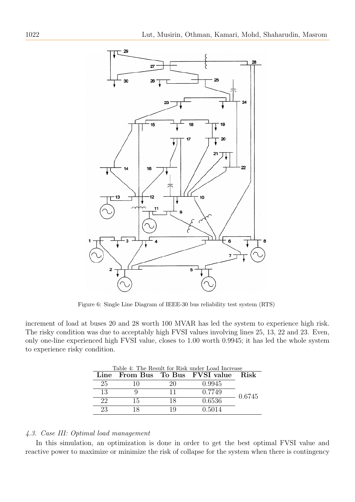

<span id="page-11-0"></span>Figure 6: Single Line Diagram of IEEE-30 bus reliability test system (RTS)

<span id="page-11-1"></span>increment of load at buses 20 and 28 worth 100 MVAR has led the system to experience high risk. The risky condition was due to acceptably high FVSI values involving lines 25, 13, 22 and 23. Even, only one-line experienced high FVSI value, closes to 1.00 worth 0.9945; it has led the whole system to experience risky condition.

| Table 4: The Result for Risk under Load Increase |    |     |                                 |             |  |  |  |
|--------------------------------------------------|----|-----|---------------------------------|-------------|--|--|--|
|                                                  |    |     | Line From Bus To Bus FVSI value | <b>Risk</b> |  |  |  |
| 25                                               |    | 20  | 0.9945                          |             |  |  |  |
| 13                                               |    | 11  | 0.7749                          | 0.6745      |  |  |  |
| 22                                               | 15 | 18  | 0.6536                          |             |  |  |  |
| 23                                               |    | 1 Q | 0.5014                          |             |  |  |  |

## 4.3. Case III: Optimal load management

In this simulation, an optimization is done in order to get the best optimal FVSI value and reactive power to maximize or minimize the risk of collapse for the system when there is contingency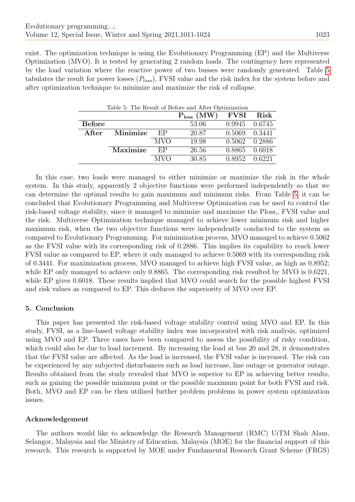<span id="page-12-0"></span>exist. The optimization technique is using the Evolutionary Programming (EP) and the Multiverse Optimization (MVO). It is tested by generating 2 random loads. The contingency here represented by the load variation where the reactive power of two busses were randomly generated. Table [5](#page-12-0) tabulates the result for power losses  $(P_{loss})$ , FVSI value and the risk index for the system before and after optimization technique to minimize and maximize the risk of collapse.

| Table 5: The Result of Before and After Optimization |          |            |                 |             |        |  |  |
|------------------------------------------------------|----------|------------|-----------------|-------------|--------|--|--|
|                                                      |          |            | $P_{loss}$ (MW) | <b>FVSI</b> | Risk   |  |  |
| <b>Before</b>                                        |          |            | 53.06           | 0.9945      | 0.6745 |  |  |
| After                                                | Minimize | EP         | 20.87           | 0.5069      | 0.3441 |  |  |
|                                                      |          | <b>MVO</b> | 19.98           | 0.5062      | 0.2886 |  |  |
|                                                      | Maximize | EP         | 26.56           | 0.8865      | 0.6018 |  |  |
|                                                      |          | <b>MVO</b> | 30.85           | 0.8952      | 0.6221 |  |  |

In this case, two loads were managed to either minimize or maximize the risk in the whole system. In this study, apparently 2 objective functions were performed independently so that we can determine the optimal results to gain maximum and minimum risks. From Table [5,](#page-12-0) it can be concluded that Evolutionary Programming and Multiverse Optimization can be used to control the risk-based voltage stability, since it managed to minimize and maximize the Ploss,, FVSI value and the risk. Multiverse Optimization technique managed to achieve lower minimum risk and higher maximum risk, when the two objective functions were independently conducted to the system as compared to Evolutionary Programming. For minimization process, MVO managed to achieve 0.5062 as the FVSI value with its corresponding risk of 0.2886. This implies its capability to reach lower FVSI value as compared to EP, where it only managed to achieve 0.5069 with its corresponding risk of 0.3441. For maximization process, MVO managed to achieve high FVSI value, as high as 0.8952; while EP only managed to achieve only 0.8865. The corresponding risk resulted by MVO is 0.6221, while EP gives 0.6018. These results implied that MVO could search for the possible highest FVSI and risk values as compared to EP. This deduces the superiority of MVO over EP.

# 5. Conclusion

This paper has presented the risk-based voltage stability control using MVO and EP. In this study, FVSI, as a line-based voltage stability index was incorporated with risk analysis, optimized using MVO and EP. Three cases have been compared to assess the possibility of risky condition, which could also be due to load increment. By increasing the load at bus 20 and 28, it demonstrates that the FVSI value are affected. As the load is increased, the FVSI value is increased. The risk can be experienced by any subjected disturbances such as load increase, line outage or generator outage. Results obtained from the study revealed that MVO is superior to EP in achieving better results, such as gaining the possible minimum point or the possible maximum point for both FVSI and risk. Both, MVO and EP can be then utilized further problem problems in power system optimization issues.

# Acknowledgement

The authors would like to acknowledge the Research Management (RMC) UiTM Shah Alam, Selangor, Malaysia and the Ministry of Education, Malaysia (MOE) for the financial support of this research. This research is supported by MOE under Fundamental Research Grant Scheme (FRGS)